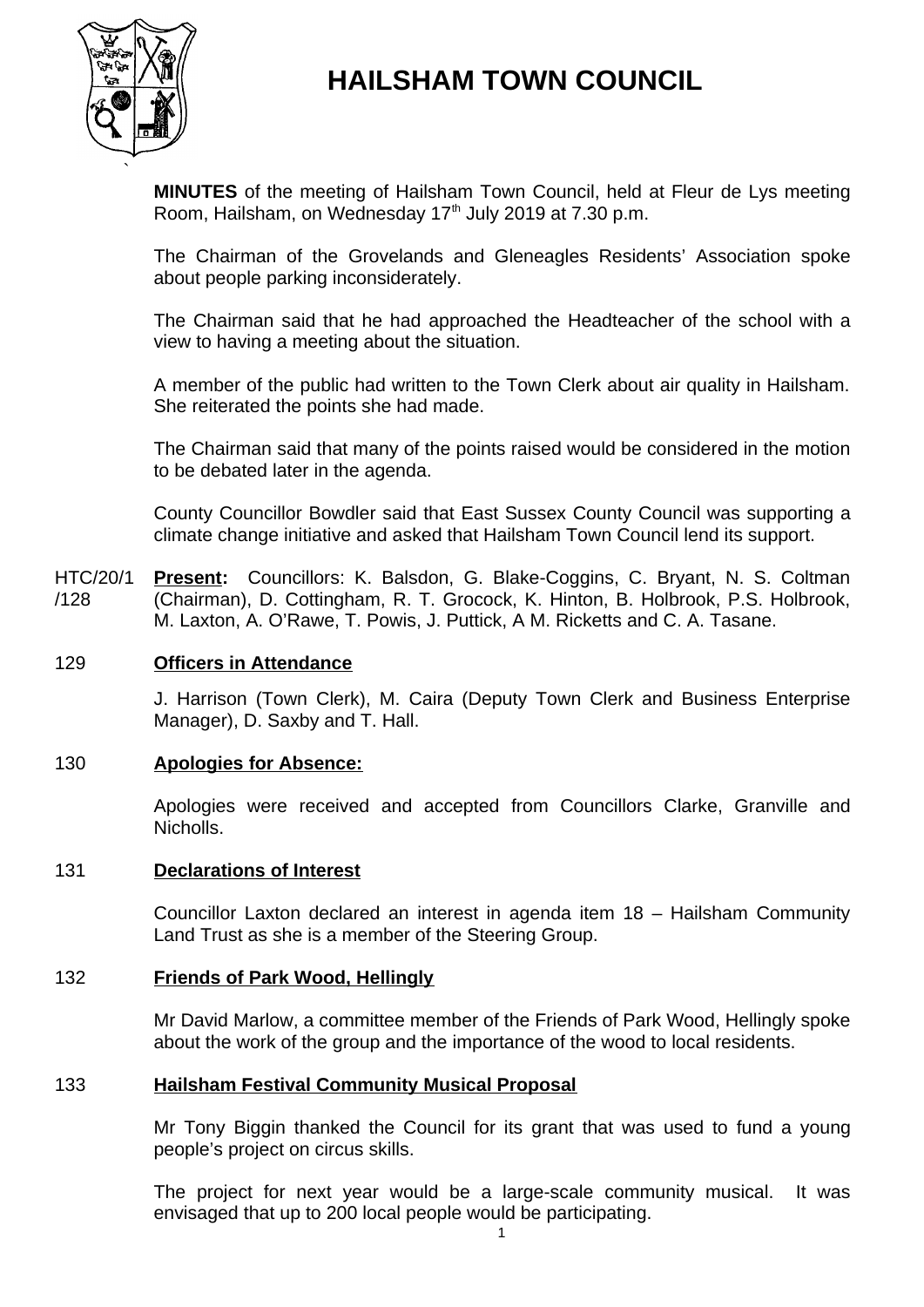

# **HAILSHAM TOWN COUNCIL**

**MINUTES** of the meeting of Hailsham Town Council, held at Fleur de Lys meeting Room, Hailsham, on Wednesday  $17<sup>th</sup>$  July 2019 at 7.30 p.m.

The Chairman of the Grovelands and Gleneagles Residents' Association spoke about people parking inconsiderately.

The Chairman said that he had approached the Headteacher of the school with a view to having a meeting about the situation.

A member of the public had written to the Town Clerk about air quality in Hailsham. She reiterated the points she had made.

The Chairman said that many of the points raised would be considered in the motion to be debated later in the agenda.

County Councillor Bowdler said that East Sussex County Council was supporting a climate change initiative and asked that Hailsham Town Council lend its support.

HTC/20/1 /128 **Present:** Councillors: K. Balsdon, G. Blake-Coggins, C. Bryant, N. S. Coltman (Chairman), D. Cottingham, R. T. Grocock, K. Hinton, B. Holbrook, P.S. Holbrook, M. Laxton, A. O'Rawe, T. Powis, J. Puttick, A M. Ricketts and C. A. Tasane.

# 129 **Officers in Attendance**

J. Harrison (Town Clerk), M. Caira (Deputy Town Clerk and Business Enterprise Manager), D. Saxby and T. Hall.

#### 130 **Apologies for Absence:**

Apologies were received and accepted from Councillors Clarke, Granville and Nicholls.

#### 131 **Declarations of Interest**

Councillor Laxton declared an interest in agenda item 18 – Hailsham Community Land Trust as she is a member of the Steering Group.

# 132 **Friends of Park Wood, Hellingly**

Mr David Marlow, a committee member of the Friends of Park Wood, Hellingly spoke about the work of the group and the importance of the wood to local residents.

#### 133 **Hailsham Festival Community Musical Proposal**

Mr Tony Biggin thanked the Council for its grant that was used to fund a young people's project on circus skills.

The project for next year would be a large-scale community musical. It was envisaged that up to 200 local people would be participating.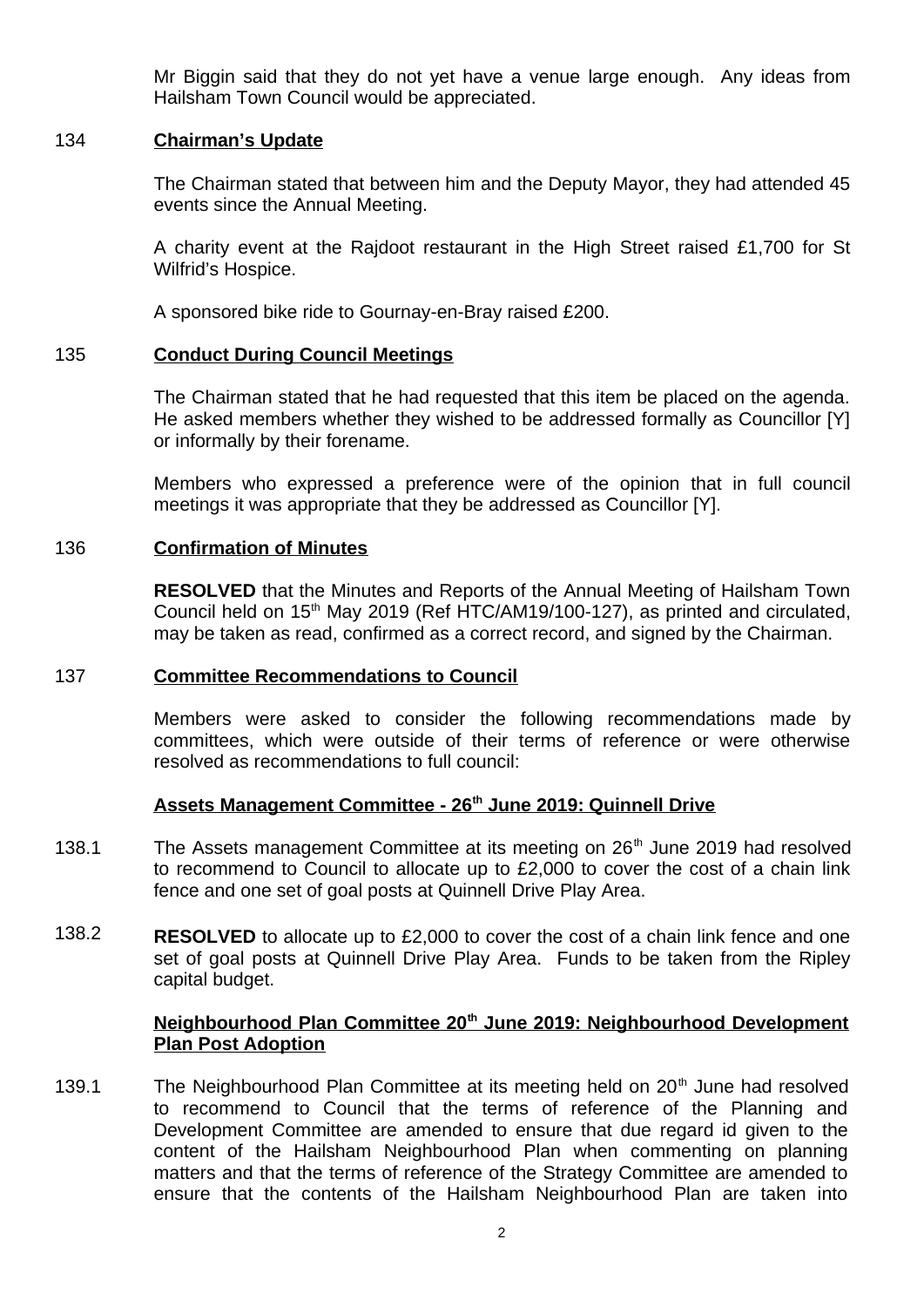Mr Biggin said that they do not yet have a venue large enough. Any ideas from Hailsham Town Council would be appreciated.

# 134 **Chairman's Update**

The Chairman stated that between him and the Deputy Mayor, they had attended 45 events since the Annual Meeting.

A charity event at the Rajdoot restaurant in the High Street raised £1,700 for St Wilfrid's Hospice.

A sponsored bike ride to Gournay-en-Bray raised £200.

# 135 **Conduct During Council Meetings**

The Chairman stated that he had requested that this item be placed on the agenda. He asked members whether they wished to be addressed formally as Councillor [Y] or informally by their forename.

Members who expressed a preference were of the opinion that in full council meetings it was appropriate that they be addressed as Councillor [Y].

# 136 **Confirmation of Minutes**

**RESOLVED** that the Minutes and Reports of the Annual Meeting of Hailsham Town Council held on 15<sup>th</sup> May 2019 (Ref HTC/AM19/100-127), as printed and circulated, may be taken as read, confirmed as a correct record, and signed by the Chairman.

#### 137 **Committee Recommendations to Council**

Members were asked to consider the following recommendations made by committees, which were outside of their terms of reference or were otherwise resolved as recommendations to full council:

# **Assets Management Committee - 26th June 2019: Quinnell Drive**

- 138.1 The Assets management Committee at its meeting on  $26<sup>th</sup>$  June 2019 had resolved to recommend to Council to allocate up to £2,000 to cover the cost of a chain link fence and one set of goal posts at Quinnell Drive Play Area.
- 138.2 **RESOLVED** to allocate up to £2,000 to cover the cost of a chain link fence and one set of goal posts at Quinnell Drive Play Area. Funds to be taken from the Ripley capital budget.

# **Neighbourhood Plan Committee 20th June 2019: Neighbourhood Development Plan Post Adoption**

139.1 The Neighbourhood Plan Committee at its meeting held on  $20<sup>th</sup>$  June had resolved to recommend to Council that the terms of reference of the Planning and Development Committee are amended to ensure that due regard id given to the content of the Hailsham Neighbourhood Plan when commenting on planning matters and that the terms of reference of the Strategy Committee are amended to ensure that the contents of the Hailsham Neighbourhood Plan are taken into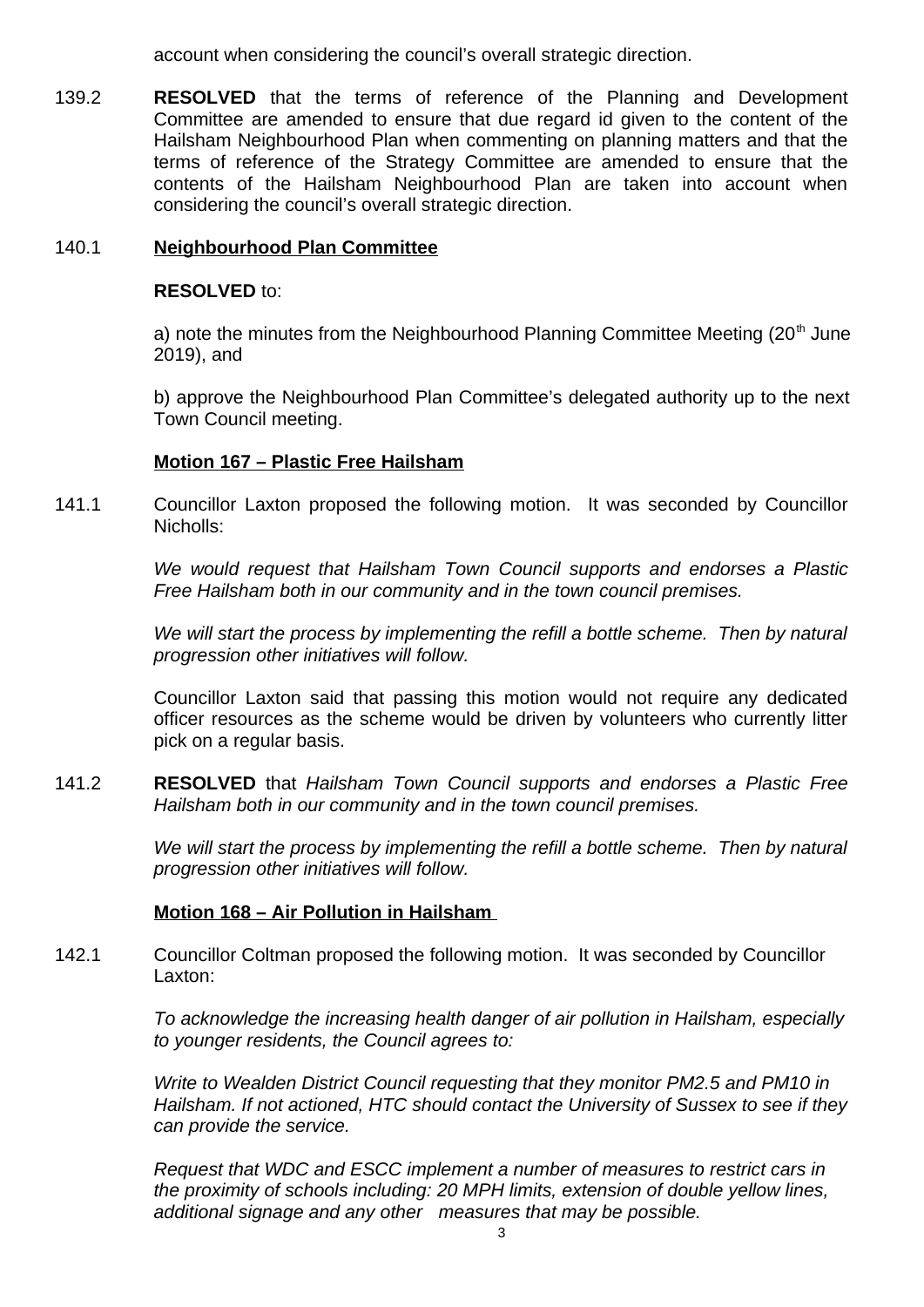account when considering the council's overall strategic direction.

139.2 **RESOLVED** that the terms of reference of the Planning and Development Committee are amended to ensure that due regard id given to the content of the Hailsham Neighbourhood Plan when commenting on planning matters and that the terms of reference of the Strategy Committee are amended to ensure that the contents of the Hailsham Neighbourhood Plan are taken into account when considering the council's overall strategic direction.

# 140.1 **Neighbourhood Plan Committee**

# **RESOLVED** to:

a) note the minutes from the Neighbourhood Planning Committee Meeting  $(20<sup>th</sup>$  June 2019), and

b) approve the Neighbourhood Plan Committee's delegated authority up to the next Town Council meeting.

# **Motion 167 – Plastic Free Hailsham**

141.1 Councillor Laxton proposed the following motion. It was seconded by Councillor Nicholls:

> *We would request that Hailsham Town Council supports and endorses a Plastic Free Hailsham both in our community and in the town council premises.*

> *We will start the process by implementing the refill a bottle scheme. Then by natural progression other initiatives will follow.*

> Councillor Laxton said that passing this motion would not require any dedicated officer resources as the scheme would be driven by volunteers who currently litter pick on a regular basis.

141.2 **RESOLVED** that *Hailsham Town Council supports and endorses a Plastic Free Hailsham both in our community and in the town council premises.*

> *We will start the process by implementing the refill a bottle scheme. Then by natural progression other initiatives will follow.*

# **Motion 168 – Air Pollution in Hailsham**

142.1 Councillor Coltman proposed the following motion. It was seconded by Councillor Laxton:

> *To acknowledge the increasing health danger of air pollution in Hailsham, especially to younger residents, the Council agrees to:*

> *Write to Wealden District Council requesting that they monitor PM2.5 and PM10 in Hailsham. If not actioned, HTC should contact the University of Sussex to see if they can provide the service.*

*Request that WDC and ESCC implement a number of measures to restrict cars in the proximity of schools including: 20 MPH limits, extension of double yellow lines, additional signage and any other measures that may be possible.*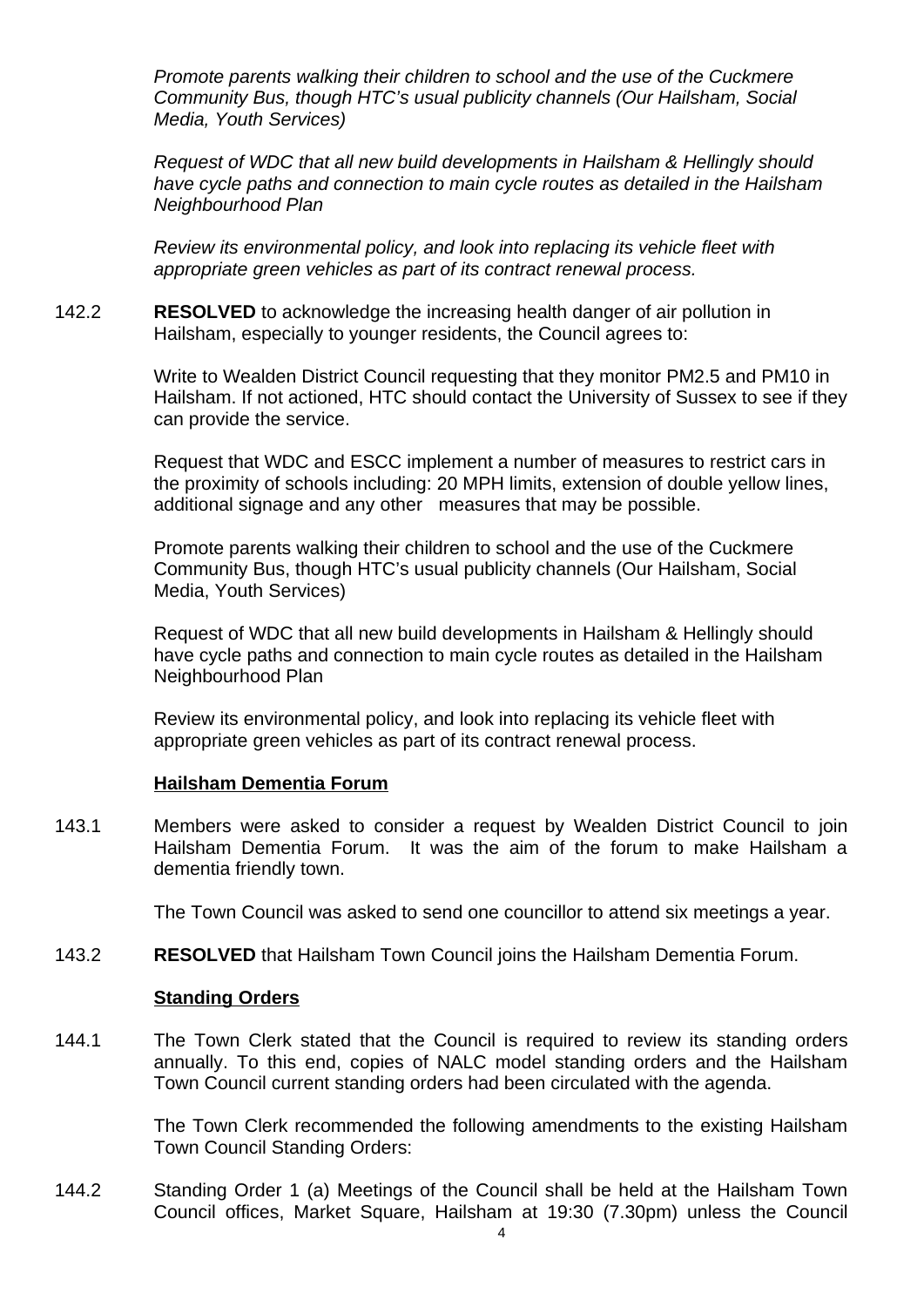*Promote parents walking their children to school and the use of the Cuckmere Community Bus, though HTC's usual publicity channels (Our Hailsham, Social Media, Youth Services)*

*Request of WDC that all new build developments in Hailsham & Hellingly should have cycle paths and connection to main cycle routes as detailed in the Hailsham Neighbourhood Plan*

*Review its environmental policy, and look into replacing its vehicle fleet with appropriate green vehicles as part of its contract renewal process.*

142.2 **RESOLVED** to acknowledge the increasing health danger of air pollution in Hailsham, especially to younger residents, the Council agrees to:

> Write to Wealden District Council requesting that they monitor PM2.5 and PM10 in Hailsham. If not actioned, HTC should contact the University of Sussex to see if they can provide the service.

Request that WDC and ESCC implement a number of measures to restrict cars in the proximity of schools including: 20 MPH limits, extension of double yellow lines, additional signage and any other measures that may be possible.

Promote parents walking their children to school and the use of the Cuckmere Community Bus, though HTC's usual publicity channels (Our Hailsham, Social Media, Youth Services)

Request of WDC that all new build developments in Hailsham & Hellingly should have cycle paths and connection to main cycle routes as detailed in the Hailsham Neighbourhood Plan

Review its environmental policy, and look into replacing its vehicle fleet with appropriate green vehicles as part of its contract renewal process.

#### **Hailsham Dementia Forum**

143.1 Members were asked to consider a request by Wealden District Council to join Hailsham Dementia Forum. It was the aim of the forum to make Hailsham a dementia friendly town.

The Town Council was asked to send one councillor to attend six meetings a year.

143.2 **RESOLVED** that Hailsham Town Council joins the Hailsham Dementia Forum.

#### **Standing Orders**

144.1 The Town Clerk stated that the Council is required to review its standing orders annually. To this end, copies of NALC model standing orders and the Hailsham Town Council current standing orders had been circulated with the agenda.

> The Town Clerk recommended the following amendments to the existing Hailsham Town Council Standing Orders:

144.2 Standing Order 1 (a) Meetings of the Council shall be held at the Hailsham Town Council offices, Market Square, Hailsham at 19:30 (7.30pm) unless the Council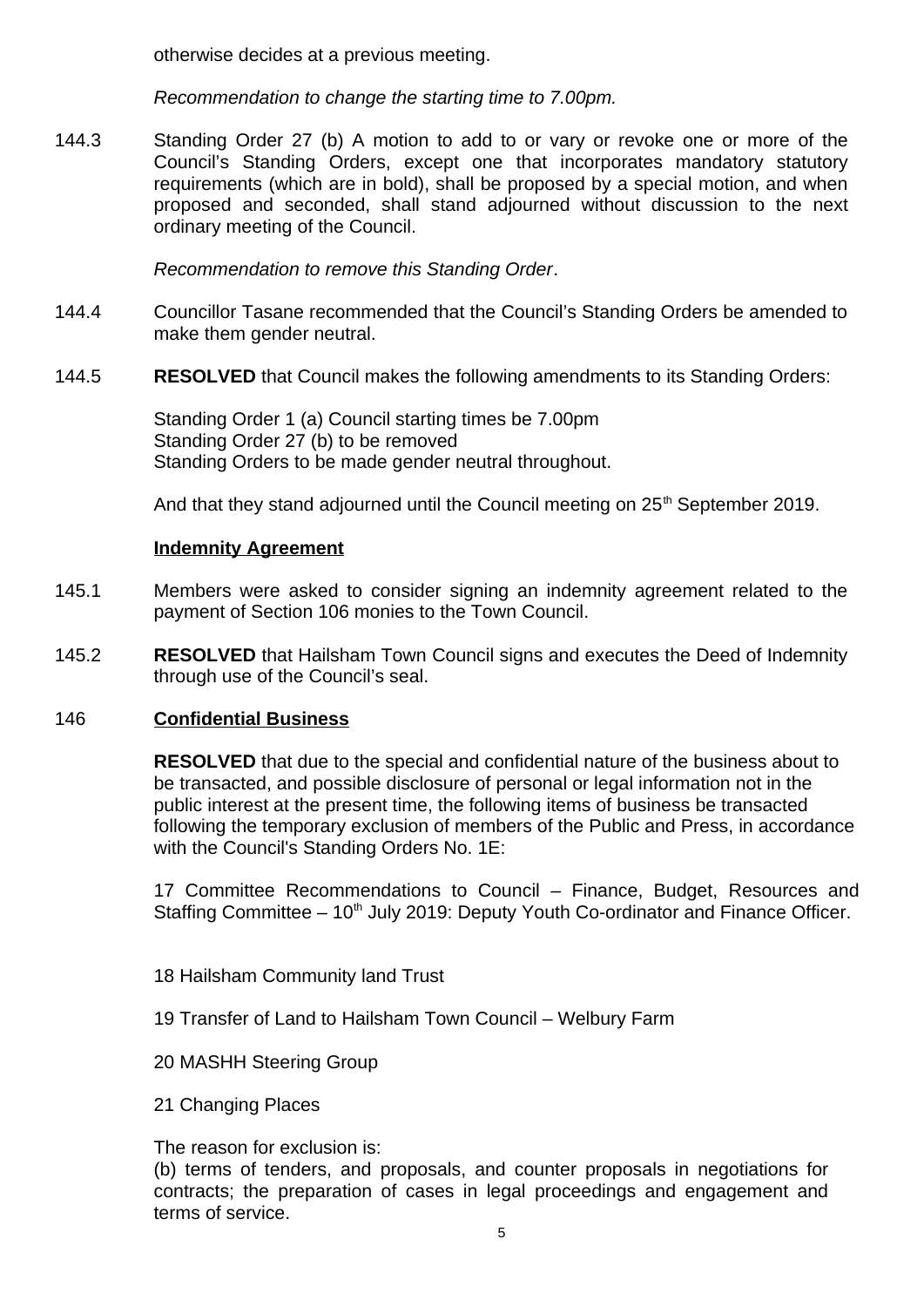otherwise decides at a previous meeting.

*Recommendation to change the starting time to 7.00pm.*

144.3 Standing Order 27 (b) A motion to add to or vary or revoke one or more of the Council's Standing Orders, except one that incorporates mandatory statutory requirements (which are in bold), shall be proposed by a special motion, and when proposed and seconded, shall stand adjourned without discussion to the next ordinary meeting of the Council.

*Recommendation to remove this Standing Order*.

- 144.4 Councillor Tasane recommended that the Council's Standing Orders be amended to make them gender neutral.
- 144.5 **RESOLVED** that Council makes the following amendments to its Standing Orders:

Standing Order 1 (a) Council starting times be 7.00pm Standing Order 27 (b) to be removed Standing Orders to be made gender neutral throughout.

And that they stand adjourned until the Council meeting on  $25<sup>th</sup>$  September 2019.

# **Indemnity Agreement**

- 145.1 Members were asked to consider signing an indemnity agreement related to the payment of Section 106 monies to the Town Council.
- 145.2 **RESOLVED** that Hailsham Town Council signs and executes the Deed of Indemnity through use of the Council's seal.

# 146 **Confidential Business**

**RESOLVED** that due to the special and confidential nature of the business about to be transacted, and possible disclosure of personal or legal information not in the public interest at the present time, the following items of business be transacted following the temporary exclusion of members of the Public and Press, in accordance with the Council's Standing Orders No. 1E:

17 Committee Recommendations to Council – Finance, Budget, Resources and Staffing Committee  $-10<sup>th</sup>$  July 2019: Deputy Youth Co-ordinator and Finance Officer.

- 18 Hailsham Community land Trust
- 19 Transfer of Land to Hailsham Town Council Welbury Farm
- 20 MASHH Steering Group
- 21 Changing Places

The reason for exclusion is:

(b) terms of tenders, and proposals, and counter proposals in negotiations for contracts; the preparation of cases in legal proceedings and engagement and terms of service.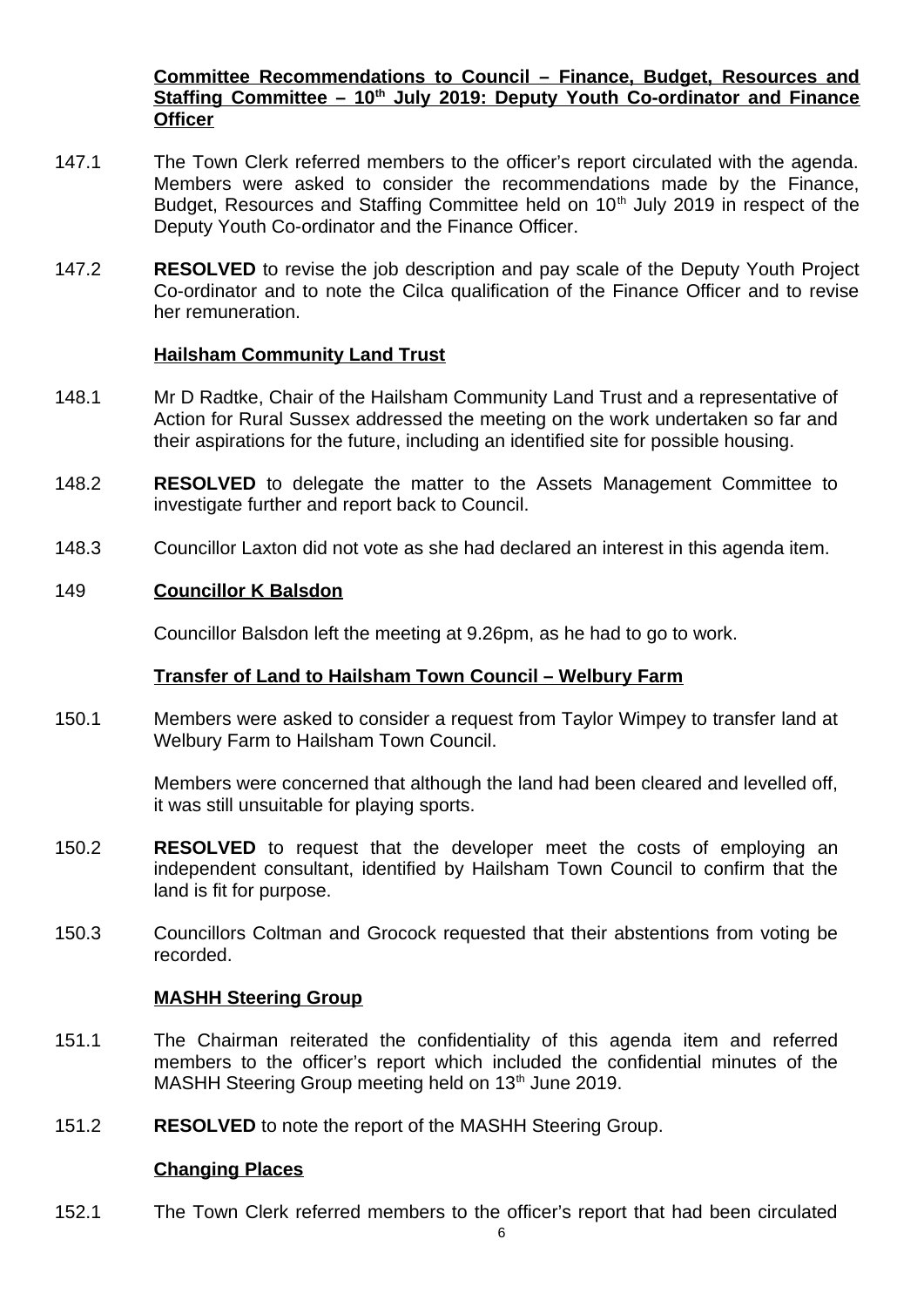**Committee Recommendations to Council – Finance, Budget, Resources and Staffing Committee – 10th July 2019: Deputy Youth Co-ordinator and Finance Officer**

- 147.1 The Town Clerk referred members to the officer's report circulated with the agenda. Members were asked to consider the recommendations made by the Finance, Budget, Resources and Staffing Committee held on  $10<sup>th</sup>$  July 2019 in respect of the Deputy Youth Co-ordinator and the Finance Officer.
- 147.2 **RESOLVED** to revise the job description and pay scale of the Deputy Youth Project Co-ordinator and to note the Cilca qualification of the Finance Officer and to revise her remuneration.

#### **Hailsham Community Land Trust**

- 148.1 Mr D Radtke, Chair of the Hailsham Community Land Trust and a representative of Action for Rural Sussex addressed the meeting on the work undertaken so far and their aspirations for the future, including an identified site for possible housing.
- 148.2 **RESOLVED** to delegate the matter to the Assets Management Committee to investigate further and report back to Council.
- 148.3 Councillor Laxton did not vote as she had declared an interest in this agenda item.

# 149 **Councillor K Balsdon**

Councillor Balsdon left the meeting at 9.26pm, as he had to go to work.

# **Transfer of Land to Hailsham Town Council – Welbury Farm**

150.1 Members were asked to consider a request from Taylor Wimpey to transfer land at Welbury Farm to Hailsham Town Council.

> Members were concerned that although the land had been cleared and levelled off, it was still unsuitable for playing sports.

- 150.2 **RESOLVED** to request that the developer meet the costs of employing an independent consultant, identified by Hailsham Town Council to confirm that the land is fit for purpose.
- 150.3 Councillors Coltman and Grocock requested that their abstentions from voting be recorded.

#### **MASHH Steering Group**

- 151.1 The Chairman reiterated the confidentiality of this agenda item and referred members to the officer's report which included the confidential minutes of the MASHH Steering Group meeting held on 13<sup>th</sup> June 2019.
- 151.2 **RESOLVED** to note the report of the MASHH Steering Group.

#### **Changing Places**

152.1 The Town Clerk referred members to the officer's report that had been circulated